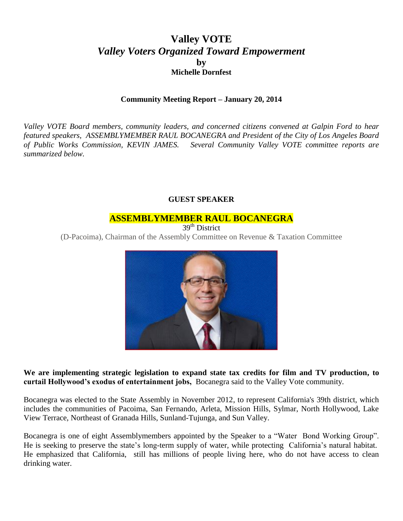# **Valley VOTE** *Valley Voters Organized Toward Empowerment* **by Michelle Dornfest**

#### **Community Meeting Report – January 20, 2014**

*Valley VOTE Board members, community leaders, and concerned citizens convened at Galpin Ford to hear featured speakers, ASSEMBLYMEMBER RAUL BOCANEGRA and President of the City of Los Angeles Board of Public Works Commission, KEVIN JAMES. Several Community Valley VOTE committee reports are summarized below.* 

#### **GUEST SPEAKER**

#### **ASSEMBLYMEMBER RAUL BOCANEGRA**

39<sup>th</sup> District

(D-Pacoima), Chairman of the Assembly Committee on Revenue & Taxation Committee



**We are implementing strategic legislation to expand state tax credits for film and TV production, to curtail Hollywood's exodus of entertainment jobs,** Bocanegra said to the Valley Vote community.

Bocanegra was elected to the State Assembly in November 2012, to represent California's 39th district, which includes the communities of Pacoima, San Fernando, Arleta, Mission Hills, Sylmar, North Hollywood, Lake View Terrace, Northeast of Granada Hills, Sunland-Tujunga, and Sun Valley.

Bocanegra is one of eight Assemblymembers appointed by the Speaker to a "Water Bond Working Group". He is seeking to preserve the state's long-term supply of water, while protecting California's natural habitat. He emphasized that California, still has millions of people living here, who do not have access to clean drinking water.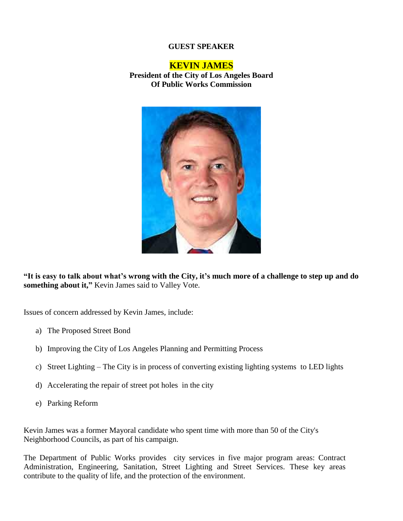## **GUEST SPEAKER**

#### **KEVIN JAMES**

**President of the City of Los Angeles Board Of Public Works Commission**



**"It is easy to talk about what's wrong with the City, it's much more of a challenge to step up and do something about it,"** Kevin James said to Valley Vote.

Issues of concern addressed by Kevin James, include:

- a) The Proposed Street Bond
- b) Improving the City of Los Angeles Planning and Permitting Process
- c) Street Lighting The City is in process of converting existing lighting systems to LED lights
- d) Accelerating the repair of street pot holes in the city
- e) Parking Reform

Kevin James was a former Mayoral candidate who spent time with more than 50 of the City's Neighborhood Councils, as part of his campaign.

The Department of Public Works provides city services in five major program areas: Contract Administration, Engineering, Sanitation, Street Lighting and Street Services. These key areas contribute to the quality of life, and the protection of the environment.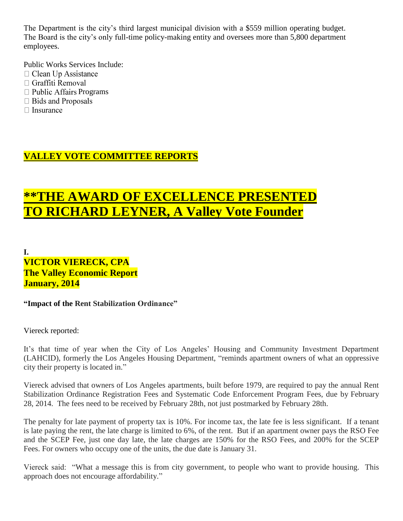The Department is the city's third largest municipal division with a \$559 million operating budget. The Board is the city's only full-time policy-making entity and oversees more than 5,800 department employees.

Public Works Services Include:

- $\Box$  Clean Up Assistance
- □ Graffiti Removal
- $\Box$  Public Affairs Programs
- □ Bids and Proposals
- $\Box$  Insurance

# **VALLEY VOTE COMMITTEE REPORTS**

# **\*\*THE AWARD OF EXCELLENCE PRESENTED TO RICHARD LEYNER, A Valley Vote Founder**

**I. VICTOR VIERECK, CPA The Valley Economic Report January, 2014**

**"Impact of the Rent Stabilization Ordinance"**

Viereck reported:

It's that time of year when the City of Los Angeles' Housing and Community Investment Department (LAHCID), formerly the Los Angeles Housing Department, "reminds apartment owners of what an oppressive city their property is located in."

Viereck advised that owners of Los Angeles apartments, built before 1979, are required to pay the annual Rent Stabilization Ordinance Registration Fees and Systematic Code Enforcement Program Fees, due by February 28, 2014. The fees need to be received by February 28th, not just postmarked by February 28th.

The penalty for late payment of property tax is 10%. For income tax, the late fee is less significant. If a tenant is late paying the rent, the late charge is limited to 6%, of the rent. But if an apartment owner pays the RSO Fee and the SCEP Fee, just one day late, the late charges are 150% for the RSO Fees, and 200% for the SCEP Fees. For owners who occupy one of the units, the due date is January 31.

Viereck said: "What a message this is from city government, to people who want to provide housing. This approach does not encourage affordability."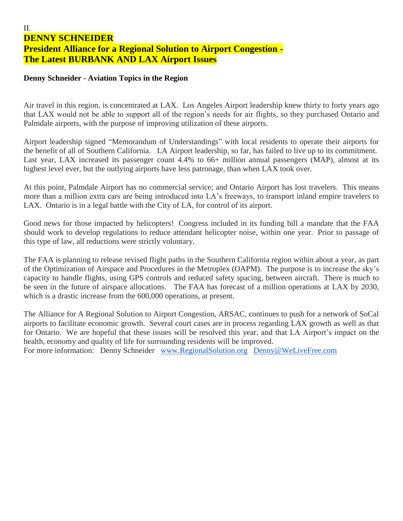## II. **DENNY SCHNEIDER President Alliance for a Regional Solution to Airport Congestion - The Latest BURBANK AND LAX Airport Issues**

## **Denny Schneider - Aviation Topics in the Region**

Air travel in this region, is concentrated at LAX. Los Angeles Airport leadership knew thirty to forty years ago that LAX would not be able to support all of the region's needs for air flights, so they purchased Ontario and Palmdale airports, with the purpose of improving utilization of these airports.

Airport leadership signed "Memorandum of Understandings" with local residents to operate their airports for the benefit of all of Southern California. LA Airport leadership, so far, has failed to live up to its commitment. Last year, LAX increased its passenger count 4.4% to 66+ million annual passengers (MAP), almost at its highest level ever, but the outlying airports have less patronage, than when LAX took over.

At this point, Palmdale Airport has no commercial service; and Ontario Airport has lost travelers. This means more than a million extra cars are being introduced into LA's freeways, to transport inland empire travelers to LAX. Ontario is in a legal battle with the City of LA, for control of its airport.

Good news for those impacted by helicopters! Congress included in its funding bill a mandate that the FAA should work to develop regulations to reduce attendant helicopter noise, within one year. Prior to passage of this type of law, all reductions were strictly voluntary.

The FAA is planning to release revised flight paths in the Southern California region within about a year, as part of the Optimization of Airspace and Procedures in the Metroplex (OAPM). The purpose is to increase the sky's capacity to handle flights, using GPS controls and reduced safety spacing, between aircraft. There is much to be seen in the future of airspace allocations. The FAA has forecast of a million operations at LAX by 2030, which is a drastic increase from the 600,000 operations, at present.

The Alliance for A Regional Solution to Airport Congestion, ARSAC, continues to push for a network of SoCal airports to facilitate economic growth. Several court cases are in process regarding LAX growth as well as that for Ontario. We are hopeful that these issues will be resolved this year, and that LA Airport's impact on the health, economy and quality of life for surrounding residents will be improved.

For more information: Denny Schneider [www.RegionalSolution.org](http://www.regionalsolution.org/) [Denny@WeLiveFree.com](mailto:Denny@WeLiveFree.com)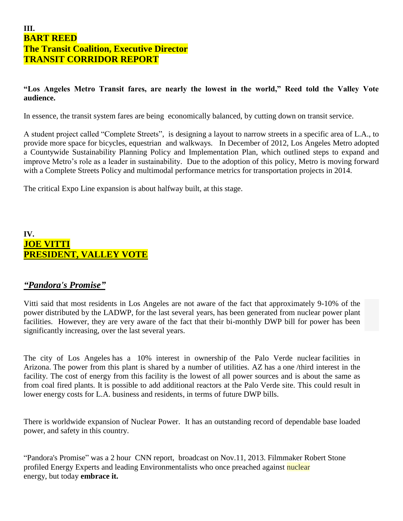## **III. BART REED The Transit Coalition, Executive Director TRANSIT CORRIDOR REPORT**

## **"Los Angeles Metro Transit fares, are nearly the lowest in the world," Reed told the Valley Vote audience.**

In essence, the transit system fares are being economically balanced, by cutting down on transit service.

A student project called "Complete Streets", is designing a layout to narrow streets in a specific area of L.A., to provide more space for bicycles, equestrian and walkways. In December of 2012, Los Angeles Metro adopted a Countywide Sustainability Planning Policy and Implementation Plan, which outlined steps to expand and improve Metro's role as a leader in sustainability. Due to the adoption of this policy, Metro is moving forward with a Complete Streets Policy and multimodal performance metrics for transportation projects in 2014.

The critical Expo Line expansion is about halfway built, at this stage.

## **IV. JOE VITTI PRESIDENT, VALLEY VOTE**

## *"Pandora's Promise"*

Vitti said that most residents in Los Angeles are not aware of the fact that approximately 9-10% of the power distributed by the LADWP, for the last several years, has been generated from nuclear power plant facilities. However, they are very aware of the fact that their bi-monthly DWP bill for power has been significantly increasing, over the last several years.

The city of Los Angeles has a 10% interest in ownership of the Palo Verde nuclear facilities in Arizona. The power from this plant is shared by a number of utilities. AZ has a one /third interest in the facility. The cost of energy from this facility is the lowest of all power sources and is about the same as from coal fired plants. It is possible to add additional reactors at the Palo Verde site. This could result in lower energy costs for L.A. business and residents, in terms of future DWP bills.

There is worldwide expansion of Nuclear Power. It has an outstanding record of dependable base loaded power, and safety in this country.

"Pandora's Promise" was a 2 hour CNN report, broadcast on Nov.11, 2013. Filmmaker Robert Stone profiled Energy Experts and leading Environmentalists who once preached against nuclear energy, but today **embrace it.**